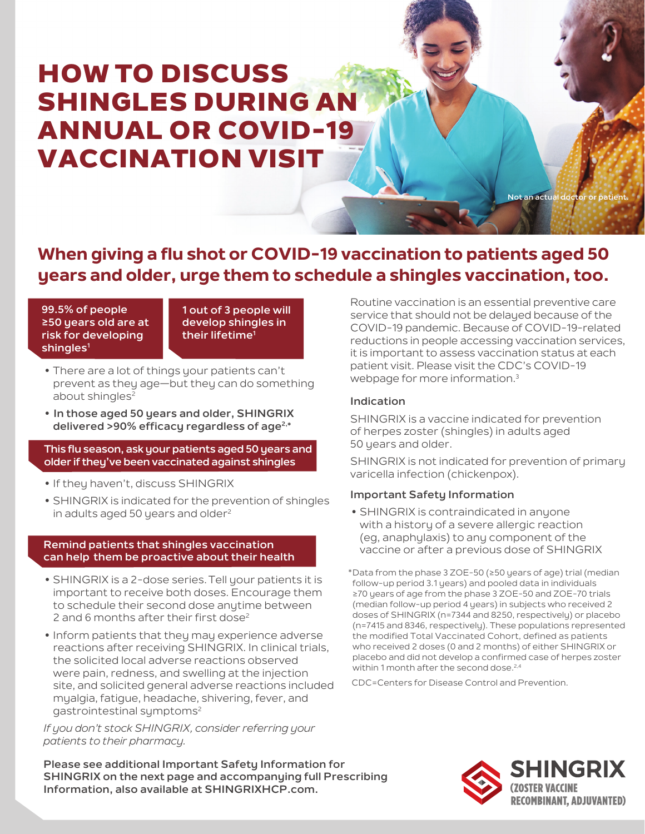# HOW TO DISCUSS SHINGLES DURING AN ANNUAL OR COVID-19 VACCINATION VISIT

**Not an actual d** 

# **When giving a flu shot or COVID-19 vaccination to patients aged 50 years and older, urge them to schedule a shingles vaccination, too.**

**99.5% of people ≥50 years old are at risk for developing**  shingles<sup>1</sup>

**1 out of 3 people will develop shingles in their lifetime1**

- **•** There are a lot of things your patients can't prevent as they age—but they can do something about shingles<sup>2</sup>
- **• In those aged 50 years and older, SHINGRIX delivered >90% efficacy regardless of age2,\***

#### **This flu season, ask your patients aged 50 years and older if they've been vaccinated against shingles**

- **•** If they haven't, discuss SHINGRIX
- **•** SHINGRIX is indicated for the prevention of shingles in adults aged 50 years and older $2^2$

#### **Remind patients that shingles vaccination can help them be proactive about their health**

- **•** SHINGRIX is a 2-dose series.Tell your patients it is important to receive both doses. Encourage them to schedule their second dose anytime between 2 and 6 months after their first dose<sup>2</sup>
- **•** Inform patients that they may experience adverse reactions after receiving SHINGRIX. In clinical trials, the solicited local adverse reactions observed were pain, redness, and swelling at the injection site, and solicited general adverse reactions included myalgia, fatigue, headache, shivering, fever, and gastrointestinal symptoms<sup>2</sup>

*If you don't stock SHINGRIX, consider referring your patients to their pharmacy.*

**Please see additional Important Safety Information for SHINGRIX on the next page and accompanying full Prescribing Information, also available at SHINGRIXHCP.com.**

Routine vaccination is an essential preventive care service that should not be delayed because of the COVID-19 pandemic. Because of COVID-19-related reductions in people accessing vaccination services, it is important to assess vaccination status at each patient visit. Please visit the CDC's COVID-19 webpage for more information.<sup>3</sup>

# **Indication**

SHINGRIX is a vaccine indicated for prevention of herpes zoster (shingles) in adults aged 50 years and older.

SHINGRIX is not indicated for prevention of primary varicella infection (chickenpox).

# **Important Safety Information**

**•** SHINGRIX is contraindicated in anyone with a history of a severe allergic reaction (eg, anaphylaxis) to any component of the vaccine or after a previous dose of SHINGRIX

\*Data from the phase 3 ZOE-50 (≥50 years of age) trial (median follow-up period 3.1 years) and pooled data in individuals ≥70 years of age from the phase 3 ZOE-50 and ZOE-70 trials (median follow-up period 4 years) in subjects who received 2 doses of SHINGRIX (n=7344 and 8250, respectively) or placebo (n=7415 and 8346, respectively). These populations represented the modified Total Vaccinated Cohort, defined as patients who received 2 doses (0 and 2 months) of either SHINGRIX or placebo and did not develop a confirmed case of herpes zoster within 1 month after the second dose.<sup>2,4</sup>

CDC=Centers for Disease Control and Prevention.